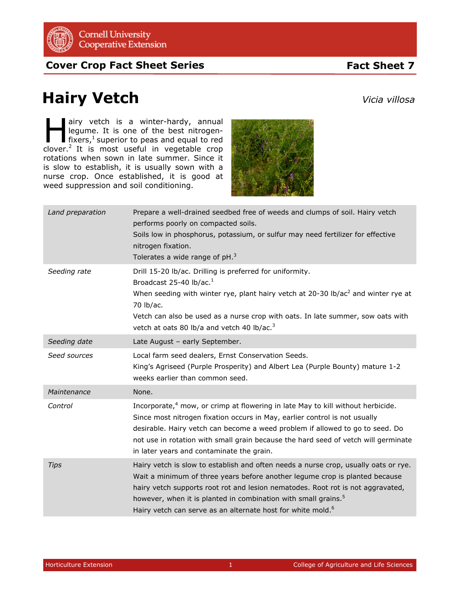

**Cover Crop Fact Sheet Series**

## **Fact Sheet 7**

## **Hairy Vetch**

airy vetch is a winter-hardy, annual legume. It is one of the best nitrogenfixers, $<sup>1</sup>$  superior to peas and equal to red</sup> airy vetch is a winter-hardy, annual<br>legume. It is one of the best nitrogen-<br>fixers,<sup>1</sup> superior to peas and equal to red<br>clover.<sup>2</sup> It is most useful in vegetable crop rotations when sown in late summer. Since it is slow to establish, it is usually sown with a nurse crop. Once established, it is good at weed suppression and soil conditioning.



| Land preparation | Prepare a well-drained seedbed free of weeds and clumps of soil. Hairy vetch<br>performs poorly on compacted soils.<br>Soils low in phosphorus, potassium, or sulfur may need fertilizer for effective<br>nitrogen fixation.<br>Tolerates a wide range of $pH3$                                                                                                                                                |
|------------------|----------------------------------------------------------------------------------------------------------------------------------------------------------------------------------------------------------------------------------------------------------------------------------------------------------------------------------------------------------------------------------------------------------------|
| Seeding rate     | Drill 15-20 lb/ac. Drilling is preferred for uniformity.<br>Broadcast 25-40 lb/ac. $1$<br>When seeding with winter rye, plant hairy vetch at 20-30 lb/ac <sup>2</sup> and winter rye at<br>70 lb/ac.<br>Vetch can also be used as a nurse crop with oats. In late summer, sow oats with<br>vetch at oats 80 lb/a and vetch 40 lb/ac. <sup>3</sup>                                                              |
| Seeding date     | Late August - early September.                                                                                                                                                                                                                                                                                                                                                                                 |
| Seed sources     | Local farm seed dealers, Ernst Conservation Seeds.<br>King's Agriseed (Purple Prosperity) and Albert Lea (Purple Bounty) mature 1-2<br>weeks earlier than common seed.                                                                                                                                                                                                                                         |
| Maintenance      | None.                                                                                                                                                                                                                                                                                                                                                                                                          |
| Control          | Incorporate, <sup>4</sup> mow, or crimp at flowering in late May to kill without herbicide.<br>Since most nitrogen fixation occurs in May, earlier control is not usually<br>desirable. Hairy vetch can become a weed problem if allowed to go to seed. Do<br>not use in rotation with small grain because the hard seed of vetch will germinate<br>in later years and contaminate the grain.                  |
| <b>Tips</b>      | Hairy vetch is slow to establish and often needs a nurse crop, usually oats or rye.<br>Wait a minimum of three years before another legume crop is planted because<br>hairy vetch supports root rot and lesion nematodes. Root rot is not aggravated,<br>however, when it is planted in combination with small grains. <sup>5</sup><br>Hairy vetch can serve as an alternate host for white mold. <sup>6</sup> |

*Vicia villosa*